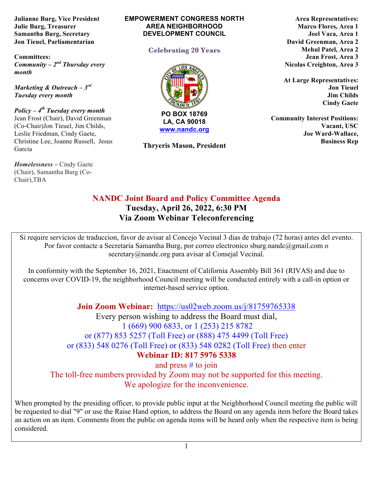**Julianne Burg, Vice President Julie Burg, Treasurer Samantha Burg, Secretary Jon Tieuel, Parliamentarian**

**Committees:**  *Community – 2nd Thursday every month* 

*Marketing & Outreach – 3rd Tuesday every month*

*Policy – 4th Tuesday every month*  Jean Frost (Chair), David Greenman (Co-Chair)Jon Tieuel, Jim Childs, Leslie Friedman, Cindy Gaete, Christine Lee, Joanne Russell, Jesus Garcia

*Homelessness* **–** Cindy Gaete (Chair), Samantha Burg (Co-Chair),TBA

#### **EMPOWERMENT CONGRESS NORTH AREA NEIGHBORHOOD DEVELOPMENT COUNCIL**

### **Celebrating 20 Years**



**LA, CA 90018 www.nandc.org**

**Thryeris Mason, President**

**Area Representatives: Marco Flores, Area 1 Joel Vaca, Area 1 David Greenman, Area 2 Mehul Patel, Area 2 Jean Frost, Area 3 Nicolas Creighton, Area 3**

**At Large Representatives: Jon Tieuel Jim Childs Cindy Gaete**

**Community Interest Positions: Vacant, USC Joe Ward-Wallace, Business Rep**

# **NANDC Joint Board and Policy Committee Agenda Tuesday, April 26, 2022, 6:30 PM Via Zoom Webinar Teleconferencing**

Si require servicios de traduccion, favor de avisar al Concejo Vecinal 3 dias de trabajo (72 horas) antes del evento. Por favor contacte a Secretaria Samantha Burg, por correo electronico sburg.nandc@gmail.com o secretary@nandc.org para avisar al Consejal Vecinal.

In conformity with the September 16, 2021, Enactment of California Assembly Bill 361 (RIVAS) and due to concerns over COVID-19, the neighborhood Council meeting will be conducted entirely with a call-in option or internet-based service option.

**Join Zoom Webinar:** https://us02web.zoom.us/j/81759765338

Every person wishing to address the Board must dial, 1 (669) 900 6833, or 1 (253) 215 8782 or (877) 853 5257 (Toll Free) or (888) 475 4499 (Toll Free) or (833) 548 0276 (Toll Free) or (833) 548 0282 (Toll Free) then enter

**Webinar ID: 817 5976 5338**

and press # to join

The toll-free numbers provided by Zoom may not be supported for this meeting. We apologize for the inconvenience.

When prompted by the presiding officer, to provide public input at the Neighborhood Council meeting the public will be requested to dial "9" or use the Raise Hand option, to address the Board on any agenda item before the Board takes an action on an item. Comments from the public on agenda items will be heard only when the respective item is being considered.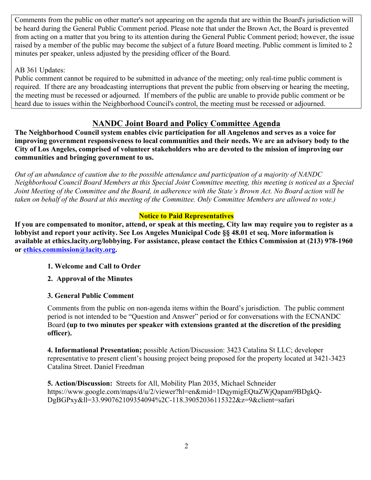Comments from the public on other matter's not appearing on the agenda that are within the Board's jurisdiction will be heard during the General Public Comment period. Please note that under the Brown Act, the Board is prevented from acting on a matter that you bring to its attention during the General Public Comment period; however, the issue raised by a member of the public may become the subject of a future Board meeting. Public comment is limited to 2 minutes per speaker, unless adjusted by the presiding officer of the Board.

### AB 361 Updates:

Public comment cannot be required to be submitted in advance of the meeting; only real-time public comment is required. If there are any broadcasting interruptions that prevent the public from observing or hearing the meeting, the meeting must be recessed or adjourned. If members of the public are unable to provide public comment or be heard due to issues within the Neighborhood Council's control, the meeting must be recessed or adjourned.

### **NANDC Joint Board and Policy Committee Agenda**

**The Neighborhood Council system enables civic participation for all Angelenos and serves as a voice for improving government responsiveness to local communities and their needs. We are an advisory body to the City of Los Angeles, comprised of volunteer stakeholders who are devoted to the mission of improving our communities and bringing government to us.**

*Out of an abundance of caution due to the possible attendance and participation of a majority of NANDC Neighborhood Council Board Members at this Special Joint Committee meeting, this meeting is noticed as a Special Joint Meeting of the Committee and the Board, in adherence with the State's Brown Act. No Board action will be taken on behalf of the Board at this meeting of the Committee. Only Committee Members are allowed to vote.)*

#### **Notice to Paid Representatives**

**If you are compensated to monitor, attend, or speak at this meeting, City law may require you to register as a lobbyist and report your activity. See Los Angeles Municipal Code §§ 48.01 et seq. More information is available at ethics.lacity.org/lobbying. For assistance, please contact the Ethics Commission at (213) 978-1960 or ethics.commission@lacity.org.**

### **1. Welcome and Call to Order**

**2. Approval of the Minutes**

### **3. General Public Comment**

Comments from the public on non-agenda items within the Board's jurisdiction. The public comment period is not intended to be "Question and Answer" period or for conversations with the ECNANDC Board **(up to two minutes per speaker with extensions granted at the discretion of the presiding officer).**

**4. Informational Presentation;** possible Action/Discussion: 3423 Catalina St LLC; developer representative to present client's housing project being proposed for the property located at 3421-3423 Catalina Street. Daniel Freedman

**5. Action/Discussion:** Streets for All, Mobility Plan 2035, Michael Schneider https://www.google.com/maps/d/u/2/viewer?hl=en&mid=1DqymigEQtaZWjQapam9BDgkQ-DgBGPxy&ll=33.990762109354094%2C-118.39052036115322&z=9&client=safari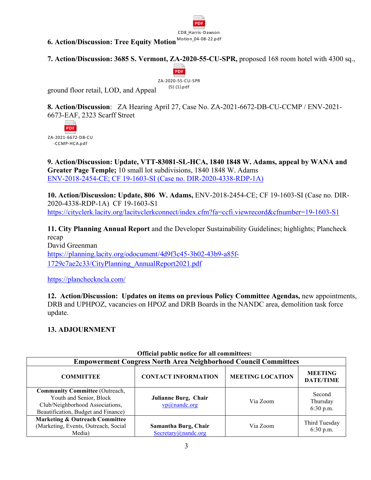

**6. Action/Discussion: Tree Equity Motion** Motion 04-08-22.pdf

**7. Action/Discussion: 3685 S. Vermont, ZA-2020-55-CU-SPR,** proposed 168 room hotel with 4300 sq.,



ground floor retail, LOD, and Appeal

**8. Action/Discussion**: ZA Hearing April 27, Case No. ZA-2021-6672-DB-CU-CCMP / ENV-2021- 6673-EAF, 2323 Scarff Street



**9. Action/Discussion: Update, VTT-83081-SL-HCA, 1840 1848 W. Adams, appeal by WANA and Greater Page Temple;** 10 small lot subdivisions, 1840 1848 W. Adams ENV-2018-2454-CE; CF 19-1603-SI (Case no. DIR-2020-4338-RDP-1A)

**10. Action/Discussion: Update, 806 W. Adams,** ENV-2018-2454-CE; CF 19-1603-SI (Case no. DIR-2020-4338-RDP-1A) CF 19-1603-S1 https://cityclerk.lacity.org/lacityclerkconnect/index.cfm?fa=ccfi.viewrecord&cfnumber=19-1603-S1

**11. City Planning Annual Report** and the Developer Sustainability Guidelines; highlights; Plancheck recap David Greenman https://planning.lacity.org/odocument/4d9f3c45-3b02-43b9-a85f-1729c7ae2c33/CityPlanning\_AnnualReport2021.pdf

https://plancheckncla.com/

**12. Action/Discussion: Updates on items on previous Policy Committee Agendas,** new appointments, DRB and UPHPOZ, vacancies on HPOZ and DRB Boards in the NANDC area, demolition task force update.

### **13. ADJOURNMENT**

| <b>Empowerment Congress North Area Neighborhood Council Committees</b>                                                                     |                                             |                         |                                    |  |
|--------------------------------------------------------------------------------------------------------------------------------------------|---------------------------------------------|-------------------------|------------------------------------|--|
| <b>COMMITTEE</b>                                                                                                                           | <b>CONTACT INFORMATION</b>                  | <b>MEETING LOCATION</b> | <b>MEETING</b><br><b>DATE/TIME</b> |  |
| <b>Community Committee (Outreach,</b><br>Youth and Senior, Block<br>Club/Neighborhood Associations,<br>Beautification, Budget and Finance) | Julianne Burg, Chair<br>$vp@$ nandc.org     | Via Zoom                | Second<br>Thursday<br>6:30 p.m.    |  |
| <b>Marketing &amp; Outreach Committee</b><br>(Marketing, Events, Outreach, Social<br>Media)                                                | Samantha Burg, Chair<br>Secretary@nandc.org | Via Zoom                | Third Tuesday<br>6:30 p.m.         |  |

# **Official public notice for all committees:**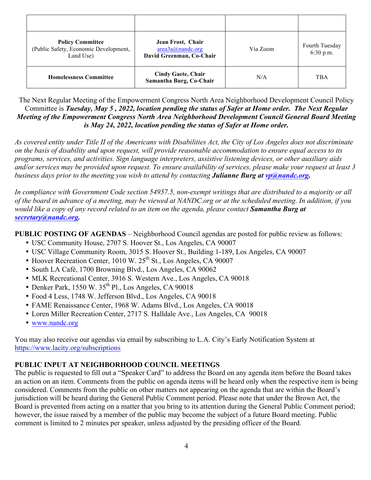| <b>Policy Committee</b><br>(Public Safety, Economic Development,<br>Land Use) | Jean Frost, Chair<br>area3a@nande.org<br>David Greenman, Co-Chair | Via Zoom | Fourth Tuesday<br>6:30 p.m. |
|-------------------------------------------------------------------------------|-------------------------------------------------------------------|----------|-----------------------------|
| <b>Homelessness Committee</b>                                                 | <b>Cindy Gaete, Chair</b><br>Samantha Burg, Co-Chair              | N/A      | <b>TBA</b>                  |

The Next Regular Meeting of the Empowerment Congress North Area Neighborhood Development Council Policy Committee is *Tuesday, May 5 , 2022, location pending the status of Safer at Home order. The Next Regular Meeting of the Empowerment Congress North Area Neighborhood Development Council General Board Meeting is May 24, 2022, location pending the status of Safer at Home order.* 

*As covered entity under Title II of the Americans with Disabilities Act, the City of Los Angeles does not discriminate on the basis of disability and upon request, will provide reasonable accommodation to ensure equal access to its programs, services, and activities. Sign language interpreters, assistive listening devices, or other auxiliary aids and/or services may be provided upon request. To ensure availability of services, please make your request at least 3 business days prior to the meeting you wish to attend by contacting Julianne Burg at vp@nandc.org.*

*In compliance with Government Code section 54957.5, non-exempt writings that are distributed to a majority or all of the board in advance of a meeting, may be viewed at NANDC.org or at the scheduled meeting. In addition, if you would like a copy of any record related to an item on the agenda, please contact Samantha Burg at secretary@nandc.org.*

**PUBLIC POSTING OF AGENDAS** – Neighborhood Council agendas are posted for public review as follows:

- USC Community House, 2707 S. Hoover St., Los Angeles, CA 90007
- USC Village Community Room, 3015 S. Hoover St., Building 1-189, Los Angeles, CA 90007
- Hoover Recreation Center, 1010 W. 25<sup>th</sup> St., Los Angeles, CA 90007
- South LA Café, 1700 Browning Blvd., Los Angeles, CA 90062
- MLK Recreational Center, 3916 S. Western Ave., Los Angeles, CA 90018
- Denker Park, 1550 W.  $35<sup>th</sup>$  Pl., Los Angeles, CA 90018
- Food 4 Less, 1748 W. Jefferson Blvd., Los Angeles, CA 90018
- FAME Renaissance Center, 1968 W. Adams Blvd., Los Angeles, CA 90018
- Loren Miller Recreation Center, 2717 S. Halldale Ave., Los Angeles, CA 90018
- www.nandc.org

You may also receive our agendas via email by subscribing to L.A. City's Early Notification System at https://www.lacity.org/subscriptions

### **PUBLIC INPUT AT NEIGHBORHOOD COUNCIL MEETINGS**

The public is requested to fill out a "Speaker Card" to address the Board on any agenda item before the Board takes an action on an item. Comments from the public on agenda items will be heard only when the respective item is being considered. Comments from the public on other matters not appearing on the agenda that are within the Board's jurisdiction will be heard during the General Public Comment period. Please note that under the Brown Act, the Board is prevented from acting on a matter that you bring to its attention during the General Public Comment period; however, the issue raised by a member of the public may become the subject of a future Board meeting. Public comment is limited to 2 minutes per speaker, unless adjusted by the presiding officer of the Board.